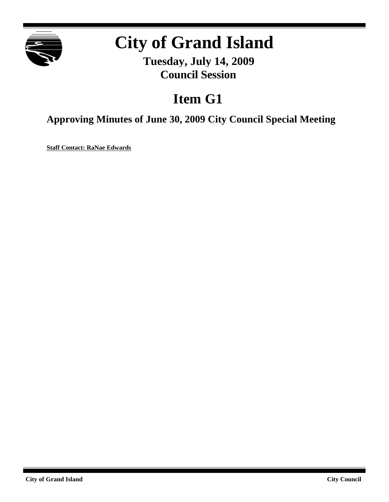

# **City of Grand Island**

**Tuesday, July 14, 2009 Council Session**

# **Item G1**

**Approving Minutes of June 30, 2009 City Council Special Meeting**

**Staff Contact: RaNae Edwards**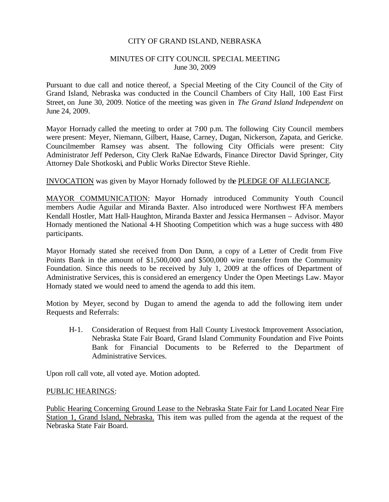#### CITY OF GRAND ISLAND, NEBRASKA

#### MINUTES OF CITY COUNCIL SPECIAL MEETING June 30, 2009

Pursuant to due call and notice thereof, a Special Meeting of the City Council of the City of Grand Island, Nebraska was conducted in the Council Chambers of City Hall, 100 East First Street, on June 30, 2009. Notice of the meeting was given in *The Grand Island Independent* on June 24, 2009.

Mayor Hornady called the meeting to order at 7:00 p.m. The following City Council members were present: Meyer, Niemann, Gilbert, Haase, Carney, Dugan, Nickerson, Zapata, and Gericke. Councilmember Ramsey was absent. The following City Officials were present: City Administrator Jeff Pederson, City Clerk RaNae Edwards, Finance Director David Springer, City Attorney Dale Shotkoski, and Public Works Director Steve Riehle.

#### INVOCATION was given by Mayor Hornady followed by the PLEDGE OF ALLEGIANCE.

MAYOR COMMUNICATION: Mayor Hornady introduced Community Youth Council members Audie Aguilar and Miranda Baxter. Also introduced were Northwest FFA members Kendall Hostler, Matt Hall-Haughton, Miranda Baxter and Jessica Hermansen – Advisor. Mayor Hornady mentioned the National 4-H Shooting Competition which was a huge success with 480 participants.

Mayor Hornady stated she received from Don Dunn, a copy of a Letter of Credit from Five Points Bank in the amount of \$1,500,000 and \$500,000 wire transfer from the Community Foundation. Since this needs to be received by July 1, 2009 at the offices of Department of Administrative Services, this is considered an emergency Under the Open Meetings Law. Mayor Hornady stated we would need to amend the agenda to add this item.

Motion by Meyer, second by Dugan to amend the agenda to add the following item under Requests and Referrals:

H-1. Consideration of Request from Hall County Livestock Improvement Association, Nebraska State Fair Board, Grand Island Community Foundation and Five Points Bank for Financial Documents to be Referred to the Department of Administrative Services.

Upon roll call vote, all voted aye. Motion adopted.

#### PUBLIC HEARINGS:

Public Hearing Concerning Ground Lease to the Nebraska State Fair for Land Located Near Fire Station 1, Grand Island, Nebraska. This item was pulled from the agenda at the request of the Nebraska State Fair Board.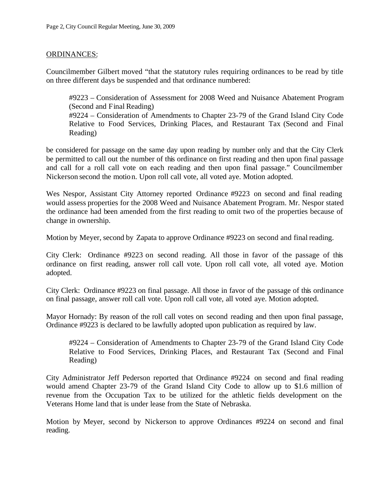### ORDINANCES:

Councilmember Gilbert moved "that the statutory rules requiring ordinances to be read by title on three different days be suspended and that ordinance numbered:

#9223 – Consideration of Assessment for 2008 Weed and Nuisance Abatement Program (Second and Final Reading) #9224 – Consideration of Amendments to Chapter 23-79 of the Grand Island City Code Relative to Food Services, Drinking Places, and Restaurant Tax (Second and Final Reading)

be considered for passage on the same day upon reading by number only and that the City Clerk be permitted to call out the number of this ordinance on first reading and then upon final passage and call for a roll call vote on each reading and then upon final passage." Councilmember Nickerson second the motion. Upon roll call vote, all voted aye. Motion adopted.

Wes Nespor, Assistant City Attorney reported Ordinance #9223 on second and final reading would assess properties for the 2008 Weed and Nuisance Abatement Program. Mr. Nespor stated the ordinance had been amended from the first reading to omit two of the properties because of change in ownership.

Motion by Meyer, second by Zapata to approve Ordinance #9223 on second and final reading.

City Clerk: Ordinance #9223 on second reading. All those in favor of the passage of this ordinance on first reading, answer roll call vote. Upon roll call vote, all voted aye. Motion adopted.

City Clerk: Ordinance #9223 on final passage. All those in favor of the passage of this ordinance on final passage, answer roll call vote. Upon roll call vote, all voted aye. Motion adopted.

Mayor Hornady: By reason of the roll call votes on second reading and then upon final passage, Ordinance #9223 is declared to be lawfully adopted upon publication as required by law.

#9224 – Consideration of Amendments to Chapter 23-79 of the Grand Island City Code Relative to Food Services, Drinking Places, and Restaurant Tax (Second and Final Reading)

City Administrator Jeff Pederson reported that Ordinance #9224 on second and final reading would amend Chapter 23-79 of the Grand Island City Code to allow up to \$1.6 million of revenue from the Occupation Tax to be utilized for the athletic fields development on the Veterans Home land that is under lease from the State of Nebraska.

Motion by Meyer, second by Nickerson to approve Ordinances #9224 on second and final reading.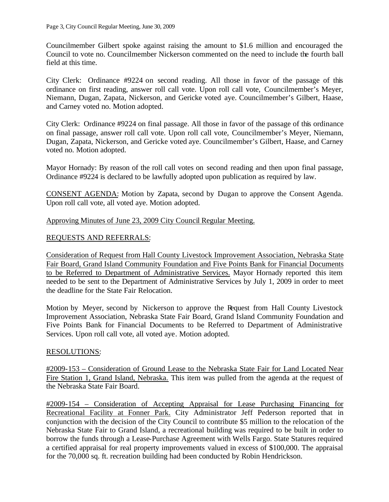Councilmember Gilbert spoke against raising the amount to \$1.6 million and encouraged the Council to vote no. Councilmember Nickerson commented on the need to include the fourth ball field at this time.

City Clerk: Ordinance #9224 on second reading. All those in favor of the passage of this ordinance on first reading, answer roll call vote. Upon roll call vote, Councilmember's Meyer, Niemann, Dugan, Zapata, Nickerson, and Gericke voted aye. Councilmember's Gilbert, Haase, and Carney voted no. Motion adopted.

City Clerk: Ordinance #9224 on final passage. All those in favor of the passage of this ordinance on final passage, answer roll call vote. Upon roll call vote, Councilmember's Meyer, Niemann, Dugan, Zapata, Nickerson, and Gericke voted aye. Councilmember's Gilbert, Haase, and Carney voted no. Motion adopted.

Mayor Hornady: By reason of the roll call votes on second reading and then upon final passage, Ordinance #9224 is declared to be lawfully adopted upon publication as required by law.

CONSENT AGENDA: Motion by Zapata, second by Dugan to approve the Consent Agenda. Upon roll call vote, all voted aye. Motion adopted.

Approving Minutes of June 23, 2009 City Council Regular Meeting.

# REQUESTS AND REFERRALS:

Consideration of Request from Hall County Livestock Improvement Association, Nebraska State Fair Board, Grand Island Community Foundation and Five Points Bank for Financial Documents to be Referred to Department of Administrative Services. Mayor Hornady reported this item needed to be sent to the Department of Administrative Services by July 1, 2009 in order to meet the deadline for the State Fair Relocation.

Motion by Meyer, second by Nickerson to approve the Request from Hall County Livestock Improvement Association, Nebraska State Fair Board, Grand Island Community Foundation and Five Points Bank for Financial Documents to be Referred to Department of Administrative Services. Upon roll call vote, all voted aye. Motion adopted.

## RESOLUTIONS:

#2009-153 – Consideration of Ground Lease to the Nebraska State Fair for Land Located Near Fire Station 1, Grand Island, Nebraska. This item was pulled from the agenda at the request of the Nebraska State Fair Board.

#2009-154 – Consideration of Accepting Appraisal for Lease Purchasing Financing for Recreational Facility at Fonner Park. City Administrator Jeff Pederson reported that in conjunction with the decision of the City Council to contribute \$5 million to the relocation of the Nebraska State Fair to Grand Island, a recreational building was required to be built in order to borrow the funds through a Lease-Purchase Agreement with Wells Fargo. State Statures required a certified appraisal for real property improvements valued in excess of \$100,000. The appraisal for the 70,000 sq. ft. recreation building had been conducted by Robin Hendrickson.